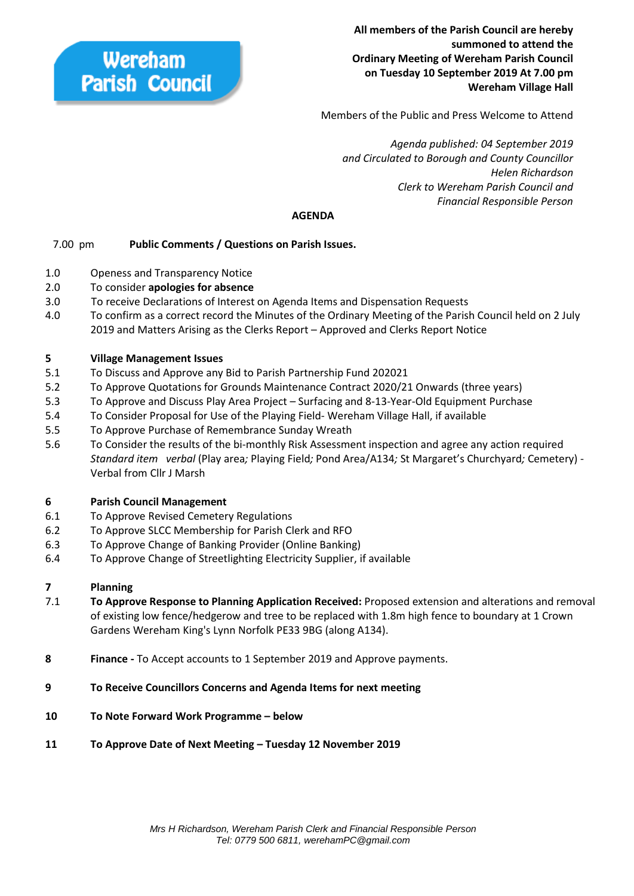

**All members of the Parish Council are hereby summoned to attend the Ordinary Meeting of Wereham Parish Council on Tuesday 10 September 2019 At 7.00 pm Wereham Village Hall**

Members of the Public and Press Welcome to Attend

 *Agenda published: 04 September 2019 and Circulated to Borough and County Councillor Helen Richardson Clerk to Wereham Parish Council and Financial Responsible Person*

### **AGENDA**

## 7.00 pm **Public Comments / Questions on Parish Issues.**

- 1.0 Openess and Transparency Notice
- 2.0 To consider **apologies for absence**
- 3.0 To receive Declarations of Interest on Agenda Items and Dispensation Requests
- 4.0 To confirm as a correct record the Minutes of the Ordinary Meeting of the Parish Council held on 2 July 2019 and Matters Arising as the Clerks Report – Approved and Clerks Report Notice

#### **5 Village Management Issues**

- 5.1 To Discuss and Approve any Bid to Parish Partnership Fund 202021
- 5.2 To Approve Quotations for Grounds Maintenance Contract 2020/21 Onwards (three years)
- 5.3 To Approve and Discuss Play Area Project Surfacing and 8-13-Year-Old Equipment Purchase
- 5.4 To Consider Proposal for Use of the Playing Field- Wereham Village Hall, if available
- 5.5 To Approve Purchase of Remembrance Sunday Wreath
- 5.6 To Consider the results of the bi-monthly Risk Assessment inspection and agree any action required *Standard item verbal* (Play area*;* Playing Field*;* Pond Area/A134*;* St Margaret's Churchyard*;* Cemetery) - Verbal from Cllr J Marsh

#### **6 Parish Council Management**

- 6.1 To Approve Revised Cemetery Regulations
- 6.2 To Approve SLCC Membership for Parish Clerk and RFO
- 6.3 To Approve Change of Banking Provider (Online Banking)
- 6.4 To Approve Change of Streetlighting Electricity Supplier, if available

## **7 Planning**

- 7.1 **To Approve Response to Planning Application Received:** Proposed extension and alterations and removal of existing low fence/hedgerow and tree to be replaced with 1.8m high fence to boundary at 1 Crown Gardens Wereham King's Lynn Norfolk PE33 9BG (along A134).
- **8 Finance -** To Accept accounts to 1 September 2019 and Approve payments.
- **9 To Receive Councillors Concerns and Agenda Items for next meeting**
- **10 To Note Forward Work Programme – below**
- **11 To Approve Date of Next Meeting – Tuesday 12 November 2019**